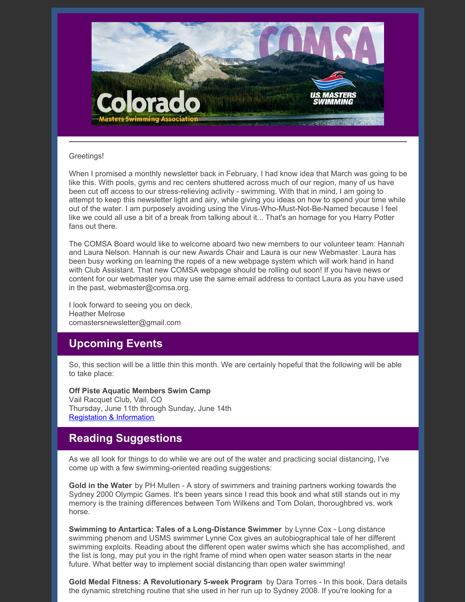

#### Greetings!

When I promised a monthly newsletter back in February, I had know idea that March was going to be like this. With pools, gyms and rec centers shuttered across much of our region, many of us have been cut off access to our stress-relieving activity - swimming. With that in mind, I am going to attempt to keep this newsletter light and airy, while giving you ideas on how to spend your time while out of the water. I am purposely avoiding using the Virus-Who-Must-Not-Be-Named because I feel like we could all use a bit of a break from talking about it... That's an homage for you Harry Potter fans out there.

The COMSA Board would like to welcome aboard two new members to our volunteer team: Hannah and Laura Nelson. Hannah is our new Awards Chair and Laura is our new Webmaster. Laura has been busy working on learning the ropes of a new webpage system which will work hand in hand with Club Assistant. That new COMSA webpage should be rolling out soon! If you have news or content for our webmaster you may use the same email address to contact Laura as you have used in the past, webmaster@comsa.org.

I look forward to seeing you on deck, Heather Melrose comastersnewsletter@gmail.com

#### **Upcoming Events**

So, this section will be a little thin this month. We are certainly hopeful that the following will be able to take place:

**Off Piste Aquatic Members Swim Camp** Vail Racquet Club, Vail, CO Thursday, June 11th through Sunday, June 14th Registation & [Information](https://www.offpisteaquatics.com/what-is-off-piste-1)

# **Reading Suggestions**

As we all look for things to do while we are out of the water and practicing social distancing, I've come up with a few swimming-oriented reading suggestions:

**Gold in the Water** by PH Mullen - A story of swimmers and training partners working towards the Sydney 2000 Olympic Games. It's been years since I read this book and what still stands out in my memory is the training differences between Tom Wilkens and Tom Dolan, thoroughbred vs. work horse.

**Swimming to Antartica: Tales of a Long-Distance Swimmer** by Lynne Cox - Long distance swimming phenom and USMS swimmer Lynne Cox gives an autobiographical tale of her different swimming exploits. Reading about the different open water swims which she has accomplished, and the list is long, may put you in the right frame of mind when open water season starts in the near future. What better way to implement social distancing than open water swimming!

**Gold Medal Fitness: A Revolutionary 5-week Program** by Dara Torres - In this book, Dara details the dynamic stretching routine that she used in her run up to Sydney 2008. If you're looking for a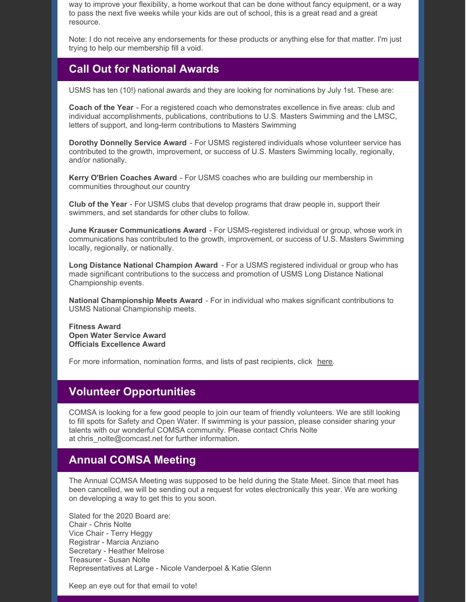way to improve your flexibility, a home workout that can be done without fancy equipment, or a way to pass the next five weeks while your kids are out of school, this is a great read and a great resource.

Note: I do not receive any endorsements for these products or anything else for that matter. I'm just trying to help our membership fill a void.

# **Call Out for National Awards**

USMS has ten (10!) national awards and they are looking for nominations by July 1st. These are:

**Coach of the Year** - For a registered coach who demonstrates excellence in five areas: club and individual accomplishments, publications, contributions to U.S. Masters Swimming and the LMSC, letters of support, and long-term contributions to Masters Swimming

**Dorothy Donnelly Service Award** - For USMS registered individuals whose volunteer service has contributed to the growth, improvement, or success of U.S. Masters Swimming locally, regionally, and/or nationally.

**Kerry O'Brien Coaches Award** - For USMS coaches who are building our membership in communities throughout our country

**Club of the Year** - For USMS clubs that develop programs that draw people in, support their swimmers, and set standards for other clubs to follow.

**June Krauser Communications Award** - For USMS-registered individual or group, whose work in communications has contributed to the growth, improvement, or success of U.S. Masters Swimming locally, regionally, or nationally.

**Long Distance National Champion Award** - For a USMS registered individual or group who has made significant contributions to the success and promotion of USMS Long Distance National Championship events.

**National Championship Meets Award** - For in individual who makes significant contributions to USMS National Championship meets.

**Fitness Award Open Water Service Award Officials Excellence Award**

For more information, nomination forms, and lists of past recipients, click [here](https://www.usms.org/admin/awards/).

# **Volunteer Opportunities**

COMSA is looking for a few good people to join our team of friendly volunteers. We are still looking to fill spots for Safety and Open Water. If swimming is your passion, please consider sharing your talents with our wonderful COMSA community. Please contact Chris Nolte at chris\_nolte@comcast.net for further information.

#### **Annual COMSA Meeting**

The Annual COMSA Meeting was supposed to be held during the State Meet. Since that meet has been cancelled, we will be sending out a request for votes electronically this year. We are working on developing a way to get this to you soon.

Slated for the 2020 Board are: Chair - Chris Nolte Vice Chair - Terry Heggy Registrar - Marcia Anziano Secretary - Heather Melrose Treasurer - Susan Nolte Representatives at Large - Nicole Vanderpoel & Katie Glenn

Keep an eye out for that email to vote!